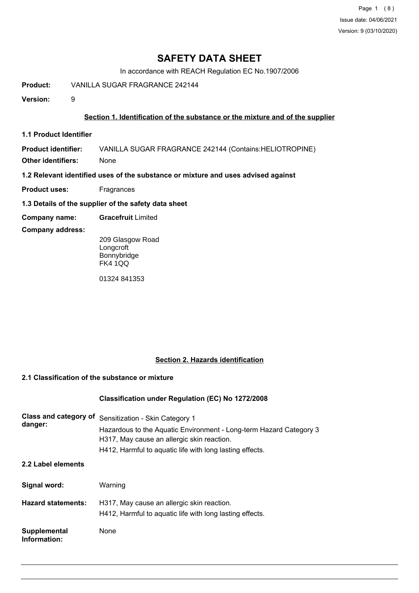Page 1 (8) Issue date: 04/06/2021 Version: 9 (03/10/2020)

# **SAFETY DATA SHEET**

In accordance with REACH Regulation EC No.1907/2006

**Product:** VANILLA SUGAR FRAGRANCE 242144

**Version:** 9

### **Section 1. Identification of the substance or the mixture and of the supplier**

**1.1 Product Identifier**

**Product identifier:** VANILLA SUGAR FRAGRANCE 242144 (Contains:HELIOTROPINE)

**Other identifiers:** None

**1.2 Relevant identified uses of the substance or mixture and uses advised against**

- **Product uses:** Fragrances
- **1.3 Details of the supplier of the safety data sheet**
- **Company name: Gracefruit** Limited

#### **Company address:**

209 Glasgow Road Longcroft Bonnybridge FK4 1QQ

01324 841353

## **Section 2. Hazards identification**

#### **2.1 Classification of the substance or mixture**

#### **Classification under Regulation (EC) No 1272/2008**

| Class and category of<br>danger: | Sensitization - Skin Category 1<br>Hazardous to the Aquatic Environment - Long-term Hazard Category 3<br>H317, May cause an allergic skin reaction.<br>H412, Harmful to aquatic life with long lasting effects. |
|----------------------------------|-----------------------------------------------------------------------------------------------------------------------------------------------------------------------------------------------------------------|
| 2.2 Label elements               |                                                                                                                                                                                                                 |
| Signal word:                     | Warning                                                                                                                                                                                                         |
| <b>Hazard statements:</b>        | H317, May cause an allergic skin reaction.<br>H412, Harmful to aquatic life with long lasting effects.                                                                                                          |
| Supplemental<br>Information:     | None                                                                                                                                                                                                            |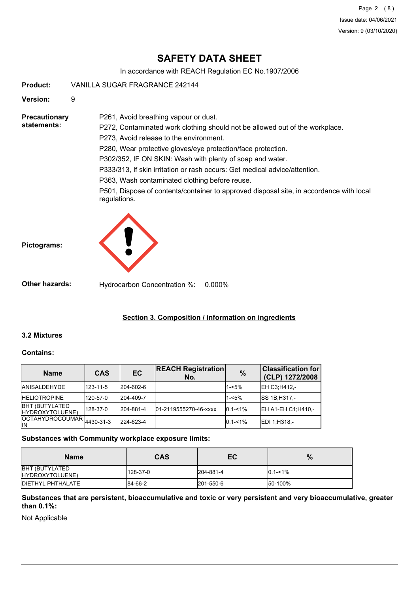Page 2 (8) Issue date: 04/06/2021 Version: 9 (03/10/2020)

# **SAFETY DATA SHEET**

In accordance with REACH Regulation EC No.1907/2006

**Product:** VANILLA SUGAR FRAGRANCE 242144

**Version:** 9

**Precautionary statements:**

P272, Contaminated work clothing should not be allowed out of the workplace. P273, Avoid release to the environment. P280, Wear protective gloves/eye protection/face protection. P302/352, IF ON SKIN: Wash with plenty of soap and water.

P333/313, If skin irritation or rash occurs: Get medical advice/attention.

P363, Wash contaminated clothing before reuse.

P261, Avoid breathing vapour or dust.

P501, Dispose of contents/container to approved disposal site, in accordance with local regulations.





**Other hazards:** Hydrocarbon Concentration %: 0.000%

# **Section 3. Composition / information on ingredients**

## **3.2 Mixtures**

#### **Contains:**

| <b>Name</b>                               | <b>CAS</b> | EC        | <b>REACH Registration</b><br>No. | $\%$        | <b>Classification for</b><br>(CLP) 1272/2008 |
|-------------------------------------------|------------|-----------|----------------------------------|-------------|----------------------------------------------|
| <b>JANISALDEHYDE</b>                      | 123-11-5   | 204-602-6 |                                  | $1 - 5%$    | EH C3; H412,-                                |
| <b>HELIOTROPINE</b>                       | 120-57-0   | 204-409-7 |                                  | $1 - 5%$    | <b>SS 1B:H317.-</b>                          |
| <b>BHT (BUTYLATED)</b><br>HYDROXYTOLUENE) | 128-37-0   | 204-881-4 | 01-2119555270-46-xxxx            | $0.1 - 1\%$ | <b>IEH A1-EH C1:H410.-</b>                   |
| OCTAHYDROCOUMAR 4430-31-3<br>lΙN          |            | 224-623-4 |                                  | $0.1 - 1\%$ | EDI 1:H318,-                                 |

#### **Substances with Community workplace exposure limits:**

| <b>Name</b>                              | <b>CAS</b> | ЕC        | $\%$        |
|------------------------------------------|------------|-----------|-------------|
| <b>BHT (BUTYLATED</b><br>HYDROXYTOLUENE) | 128-37-0   | 204-881-4 | $0.1 - 1\%$ |
| <b>IDIETHYL PHTHALATE</b>                | 84-66-2    | 201-550-6 | 50-100%     |

**Substances that are persistent, bioaccumulative and toxic or very persistent and very bioaccumulative, greater than 0.1%:**

Not Applicable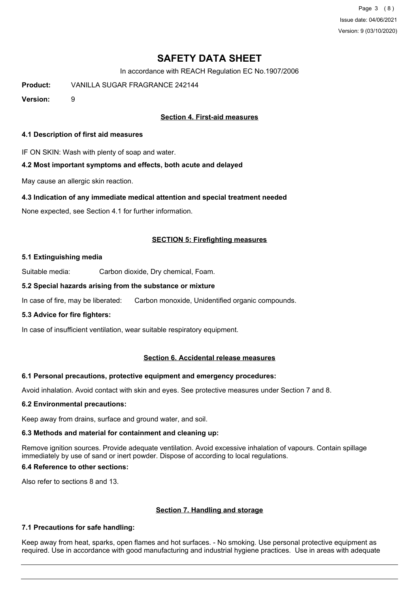Page 3 (8) Issue date: 04/06/2021 Version: 9 (03/10/2020)

# **SAFETY DATA SHEET**

In accordance with REACH Regulation EC No.1907/2006

**Product:** VANILLA SUGAR FRAGRANCE 242144

**Version:** 9

### **Section 4. First-aid measures**

#### **4.1 Description of first aid measures**

IF ON SKIN: Wash with plenty of soap and water.

#### **4.2 Most important symptoms and effects, both acute and delayed**

May cause an allergic skin reaction.

#### **4.3 Indication of any immediate medical attention and special treatment needed**

None expected, see Section 4.1 for further information.

#### **SECTION 5: Firefighting measures**

#### **5.1 Extinguishing media**

Suitable media: Carbon dioxide, Dry chemical, Foam.

#### **5.2 Special hazards arising from the substance or mixture**

In case of fire, may be liberated: Carbon monoxide, Unidentified organic compounds.

#### **5.3 Advice for fire fighters:**

In case of insufficient ventilation, wear suitable respiratory equipment.

#### **Section 6. Accidental release measures**

#### **6.1 Personal precautions, protective equipment and emergency procedures:**

Avoid inhalation. Avoid contact with skin and eyes. See protective measures under Section 7 and 8.

#### **6.2 Environmental precautions:**

Keep away from drains, surface and ground water, and soil.

#### **6.3 Methods and material for containment and cleaning up:**

Remove ignition sources. Provide adequate ventilation. Avoid excessive inhalation of vapours. Contain spillage immediately by use of sand or inert powder. Dispose of according to local regulations.

## **6.4 Reference to other sections:**

Also refer to sections 8 and 13.

#### **Section 7. Handling and storage**

#### **7.1 Precautions for safe handling:**

Keep away from heat, sparks, open flames and hot surfaces. - No smoking. Use personal protective equipment as required. Use in accordance with good manufacturing and industrial hygiene practices. Use in areas with adequate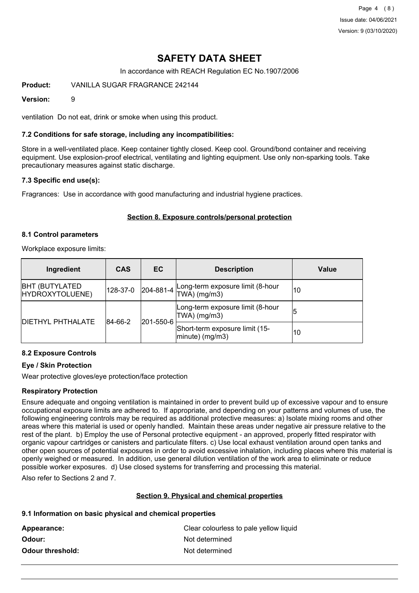Page 4 (8) Issue date: 04/06/2021 Version: 9 (03/10/2020)

# **SAFETY DATA SHEET**

In accordance with REACH Regulation EC No.1907/2006

**Product:** VANILLA SUGAR FRAGRANCE 242144

#### **Version:** 9

ventilation Do not eat, drink or smoke when using this product.

#### **7.2 Conditions for safe storage, including any incompatibilities:**

Store in a well-ventilated place. Keep container tightly closed. Keep cool. Ground/bond container and receiving equipment. Use explosion-proof electrical, ventilating and lighting equipment. Use only non-sparking tools. Take precautionary measures against static discharge.

#### **7.3 Specific end use(s):**

Fragrances: Use in accordance with good manufacturing and industrial hygiene practices.

#### **Section 8. Exposure controls/personal protection**

#### **8.1 Control parameters**

Workplace exposure limits:

| Ingredient                                | <b>CAS</b>           | EC | <b>Description</b>                                         | Value |
|-------------------------------------------|----------------------|----|------------------------------------------------------------|-------|
| <b>BHT (BUTYLATED)</b><br>HYDROXYTOLUENE) | 128-37-0             |    | 204-881-4 Long-term exposure limit (8-hour<br>TWA) (mg/m3) | 10    |
| <b>DIETHYL PHTHALATE</b>                  | 201-550-6<br>84-66-2 |    | Long-term exposure limit (8-hour<br>$TWA)$ (mg/m3)         | 15    |
|                                           |                      |    | Short-term exposure limit (15-<br>$ minute)$ (mg/m3)       | 10    |

#### **8.2 Exposure Controls**

#### **Eye / Skin Protection**

Wear protective gloves/eye protection/face protection

#### **Respiratory Protection**

Ensure adequate and ongoing ventilation is maintained in order to prevent build up of excessive vapour and to ensure occupational exposure limits are adhered to. If appropriate, and depending on your patterns and volumes of use, the following engineering controls may be required as additional protective measures: a) Isolate mixing rooms and other areas where this material is used or openly handled. Maintain these areas under negative air pressure relative to the rest of the plant. b) Employ the use of Personal protective equipment - an approved, properly fitted respirator with organic vapour cartridges or canisters and particulate filters. c) Use local exhaust ventilation around open tanks and other open sources of potential exposures in order to avoid excessive inhalation, including places where this material is openly weighed or measured. In addition, use general dilution ventilation of the work area to eliminate or reduce possible worker exposures. d) Use closed systems for transferring and processing this material.

Also refer to Sections 2 and 7.

#### **Section 9. Physical and chemical properties**

#### **9.1 Information on basic physical and chemical properties**

| Appearance:      | Clear colourless to pale yellow liquid |
|------------------|----------------------------------------|
| Odour: .         | Not determined                         |
| Odour threshold: | Not determined                         |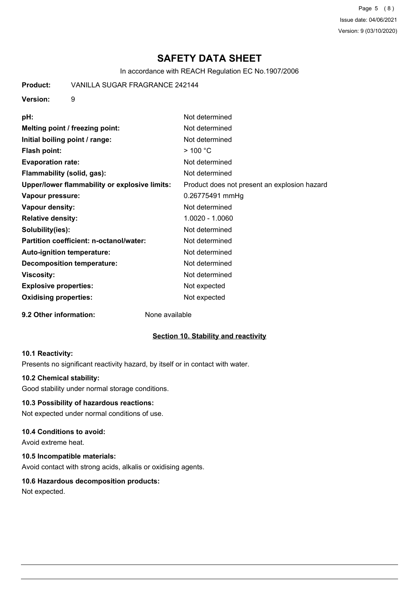Page 5 (8) Issue date: 04/06/2021 Version: 9 (03/10/2020)

# **SAFETY DATA SHEET**

In accordance with REACH Regulation EC No.1907/2006

**Product:** VANILLA SUGAR FRAGRANCE 242144

#### **Version:** 9

| pH:                                           | Not determined                               |
|-----------------------------------------------|----------------------------------------------|
| Melting point / freezing point:               | Not determined                               |
| Initial boiling point / range:                | Not determined                               |
| <b>Flash point:</b>                           | $>$ 100 °C                                   |
| <b>Evaporation rate:</b>                      | Not determined                               |
| Flammability (solid, gas):                    | Not determined                               |
| Upper/lower flammability or explosive limits: | Product does not present an explosion hazard |
| Vapour pressure:                              | 0.26775491 mmHg                              |
| Vapour density:                               | Not determined                               |
| <b>Relative density:</b>                      | 1.0020 - 1.0060                              |
| Solubility(ies):                              | Not determined                               |
| Partition coefficient: n-octanol/water:       | Not determined                               |
| Auto-ignition temperature:                    | Not determined                               |
| <b>Decomposition temperature:</b>             | Not determined                               |
| <b>Viscosity:</b>                             | Not determined                               |
| <b>Explosive properties:</b>                  | Not expected                                 |
| <b>Oxidising properties:</b>                  | Not expected                                 |
|                                               |                                              |

# **9.2 Other information:** None available

## **Section 10. Stability and reactivity**

#### **10.1 Reactivity:**

Presents no significant reactivity hazard, by itself or in contact with water.

#### **10.2 Chemical stability:**

Good stability under normal storage conditions.

#### **10.3 Possibility of hazardous reactions:**

Not expected under normal conditions of use.

### **10.4 Conditions to avoid:**

Avoid extreme heat.

#### **10.5 Incompatible materials:**

Avoid contact with strong acids, alkalis or oxidising agents.

## **10.6 Hazardous decomposition products:**

Not expected.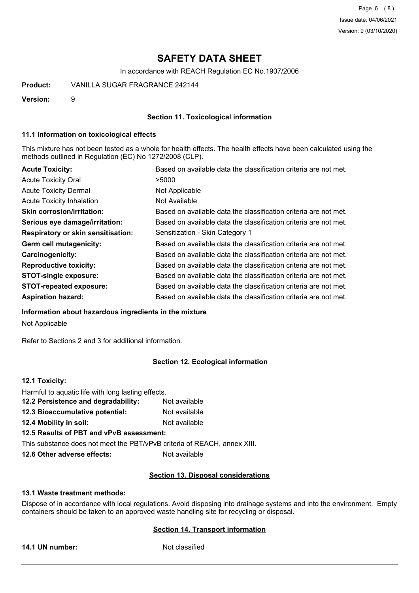Page 6 (8) Issue date: 04/06/2021 Version: 9 (03/10/2020)

# **SAFETY DATA SHEET**

In accordance with REACH Regulation EC No.1907/2006

**Product:** VANILLA SUGAR FRAGRANCE 242144

**Version:** 9

### **Section 11. Toxicological information**

#### **11.1 Information on toxicological effects**

This mixture has not been tested as a whole for health effects. The health effects have been calculated using the methods outlined in Regulation (EC) No 1272/2008 (CLP).

| <b>Acute Toxicity:</b>                    | Based on available data the classification criteria are not met. |
|-------------------------------------------|------------------------------------------------------------------|
| <b>Acute Toxicity Oral</b>                | >5000                                                            |
| <b>Acute Toxicity Dermal</b>              | Not Applicable                                                   |
| <b>Acute Toxicity Inhalation</b>          | Not Available                                                    |
| <b>Skin corrosion/irritation:</b>         | Based on available data the classification criteria are not met. |
| Serious eye damage/irritation:            | Based on available data the classification criteria are not met. |
| <b>Respiratory or skin sensitisation:</b> | Sensitization - Skin Category 1                                  |
| Germ cell mutagenicity:                   | Based on available data the classification criteria are not met. |
| <b>Carcinogenicity:</b>                   | Based on available data the classification criteria are not met. |
| <b>Reproductive toxicity:</b>             | Based on available data the classification criteria are not met. |
| <b>STOT-single exposure:</b>              | Based on available data the classification criteria are not met. |
| <b>STOT-repeated exposure:</b>            | Based on available data the classification criteria are not met. |
| <b>Aspiration hazard:</b>                 | Based on available data the classification criteria are not met. |

**Information about hazardous ingredients in the mixture**

Not Applicable

Refer to Sections 2 and 3 for additional information.

## **Section 12. Ecological information**

### **12.1 Toxicity:**

| Harmful to aquatic life with long lasting effects.                       |               |
|--------------------------------------------------------------------------|---------------|
| 12.2 Persistence and degradability:                                      | Not available |
| 12.3 Bioaccumulative potential:                                          | Not available |
| 12.4 Mobility in soil:                                                   | Not available |
| 12.5 Results of PBT and vPvB assessment:                                 |               |
| This substance does not meet the PBT/vPvB criteria of REACH, annex XIII. |               |
| 12.6 Other adverse effects:                                              | Not available |

#### **Section 13. Disposal considerations**

#### **13.1 Waste treatment methods:**

Dispose of in accordance with local regulations. Avoid disposing into drainage systems and into the environment. Empty containers should be taken to an approved waste handling site for recycling or disposal.

#### **Section 14. Transport information**

**14.1 UN number:** Not classified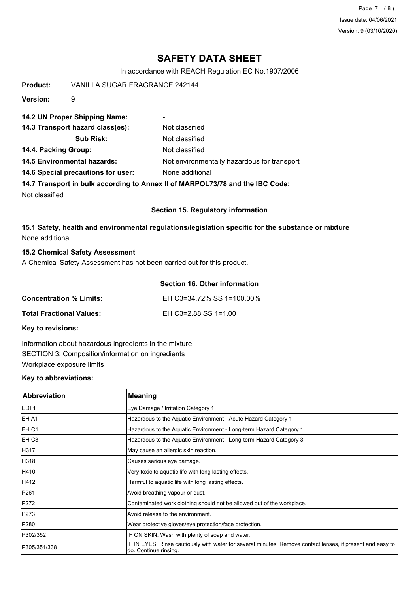Page 7 (8) Issue date: 04/06/2021 Version: 9 (03/10/2020)

# **SAFETY DATA SHEET**

In accordance with REACH Regulation EC No.1907/2006

| Product:                                                                      | <b>VANILLA SUGAR FRAGRANCE 242144</b>                 |                                             |
|-------------------------------------------------------------------------------|-------------------------------------------------------|---------------------------------------------|
| Version:                                                                      | 9                                                     |                                             |
|                                                                               | 14.2 UN Proper Shipping Name:                         | ۰                                           |
|                                                                               | 14.3 Transport hazard class(es):                      | Not classified                              |
|                                                                               | <b>Sub Risk:</b>                                      | Not classified                              |
| 14.4. Packing Group:                                                          |                                                       | Not classified                              |
|                                                                               | <b>14.5 Environmental hazards:</b>                    | Not environmentally hazardous for transport |
|                                                                               | 14.6 Special precautions for user:<br>None additional |                                             |
| 14.7 Transport in bulk according to Annex II of MARPOL73/78 and the IBC Code: |                                                       |                                             |
| Not classified                                                                |                                                       |                                             |
|                                                                               | <b>Section 15. Regulatory information</b>             |                                             |

### **15.1 Safety, health and environmental regulations/legislation specific for the substance or mixture** None additional

### **15.2 Chemical Safety Assessment**

A Chemical Safety Assessment has not been carried out for this product.

|                          | Section 16. Other information |
|--------------------------|-------------------------------|
| Concentration % Limits:  | EH C3=34.72% SS 1=100.00%     |
| Total Fractional Values: | EH C3=2.88 SS 1=1.00          |
| Kay to ravisions:        |                               |

**Key to revisions:**

Information about hazardous ingredients in the mixture SECTION 3: Composition/information on ingredients Workplace exposure limits

#### **Key to abbreviations:**

| <b>Abbreviation</b> | <b>Meaning</b>                                                                                                                      |
|---------------------|-------------------------------------------------------------------------------------------------------------------------------------|
| <b>IEDI1</b>        | Eye Damage / Irritation Category 1                                                                                                  |
| <b>IEH A1</b>       | Hazardous to the Aquatic Environment - Acute Hazard Category 1                                                                      |
| EH C1               | Hazardous to the Aquatic Environment - Long-term Hazard Category 1                                                                  |
| <b>IEH C3</b>       | Hazardous to the Aquatic Environment - Long-term Hazard Category 3                                                                  |
| H317                | May cause an allergic skin reaction.                                                                                                |
| H318                | Causes serious eye damage.                                                                                                          |
| H410                | Very toxic to aquatic life with long lasting effects.                                                                               |
| H412                | Harmful to aquatic life with long lasting effects.                                                                                  |
| P261                | Avoid breathing vapour or dust.                                                                                                     |
| P272                | Contaminated work clothing should not be allowed out of the workplace.                                                              |
| P273                | Avoid release to the environment.                                                                                                   |
| P280                | Wear protective gloves/eye protection/face protection.                                                                              |
| P302/352            | IF ON SKIN: Wash with plenty of soap and water.                                                                                     |
| P305/351/338        | IF IN EYES: Rinse cautiously with water for several minutes. Remove contact lenses, if present and easy to<br>do. Continue rinsing. |